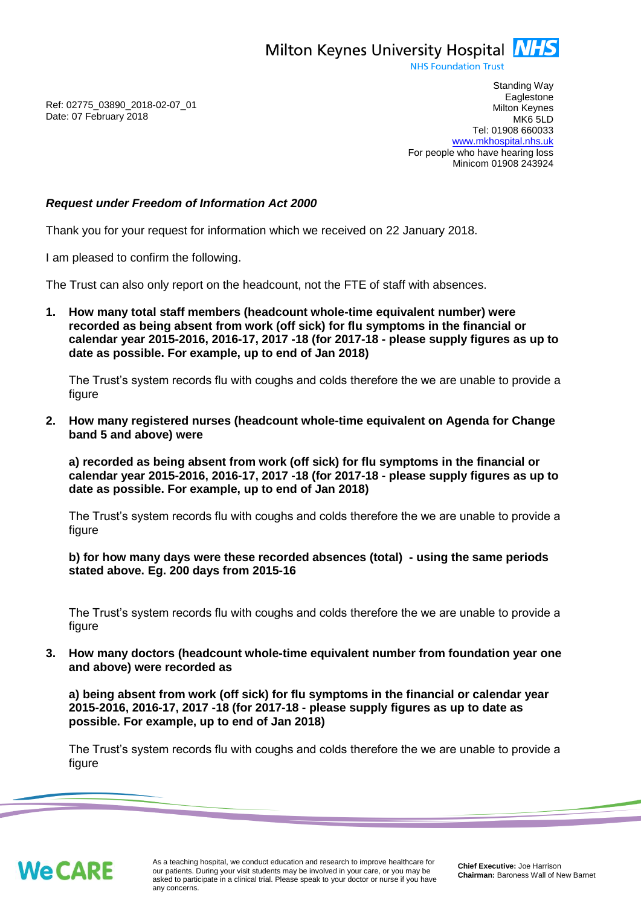Milton Keynes University Hospital **NHS** 

**NHS Foundation Trust** 

Ref: 02775\_03890\_2018-02-07\_01 Date: 07 February 2018

Standing Way **Eaglestone** Milton Keynes MK6 5LD Tel: 01908 660033 [www.mkhospital.nhs.uk](http://www.mkhospital.nhs.uk/) For people who have hearing loss Minicom 01908 243924

## *Request under Freedom of Information Act 2000*

Thank you for your request for information which we received on 22 January 2018.

I am pleased to confirm the following.

The Trust can also only report on the headcount, not the FTE of staff with absences.

**1. How many total staff members (headcount whole-time equivalent number) were recorded as being absent from work (off sick) for flu symptoms in the financial or calendar year 2015-2016, 2016-17, 2017 -18 (for 2017-18 - please supply figures as up to date as possible. For example, up to end of Jan 2018)**

The Trust's system records flu with coughs and colds therefore the we are unable to provide a figure

**2. How many registered nurses (headcount whole-time equivalent on Agenda for Change band 5 and above) were**

**a) recorded as being absent from work (off sick) for flu symptoms in the financial or calendar year 2015-2016, 2016-17, 2017 -18 (for 2017-18 - please supply figures as up to date as possible. For example, up to end of Jan 2018)**

The Trust's system records flu with coughs and colds therefore the we are unable to provide a figure

**b) for how many days were these recorded absences (total) - using the same periods stated above. Eg. 200 days from 2015-16**

The Trust's system records flu with coughs and colds therefore the we are unable to provide a figure

**3. How many doctors (headcount whole-time equivalent number from foundation year one and above) were recorded as**

**a) being absent from work (off sick) for flu symptoms in the financial or calendar year 2015-2016, 2016-17, 2017 -18 (for 2017-18 - please supply figures as up to date as possible. For example, up to end of Jan 2018)**

The Trust's system records flu with coughs and colds therefore the we are unable to provide a figure